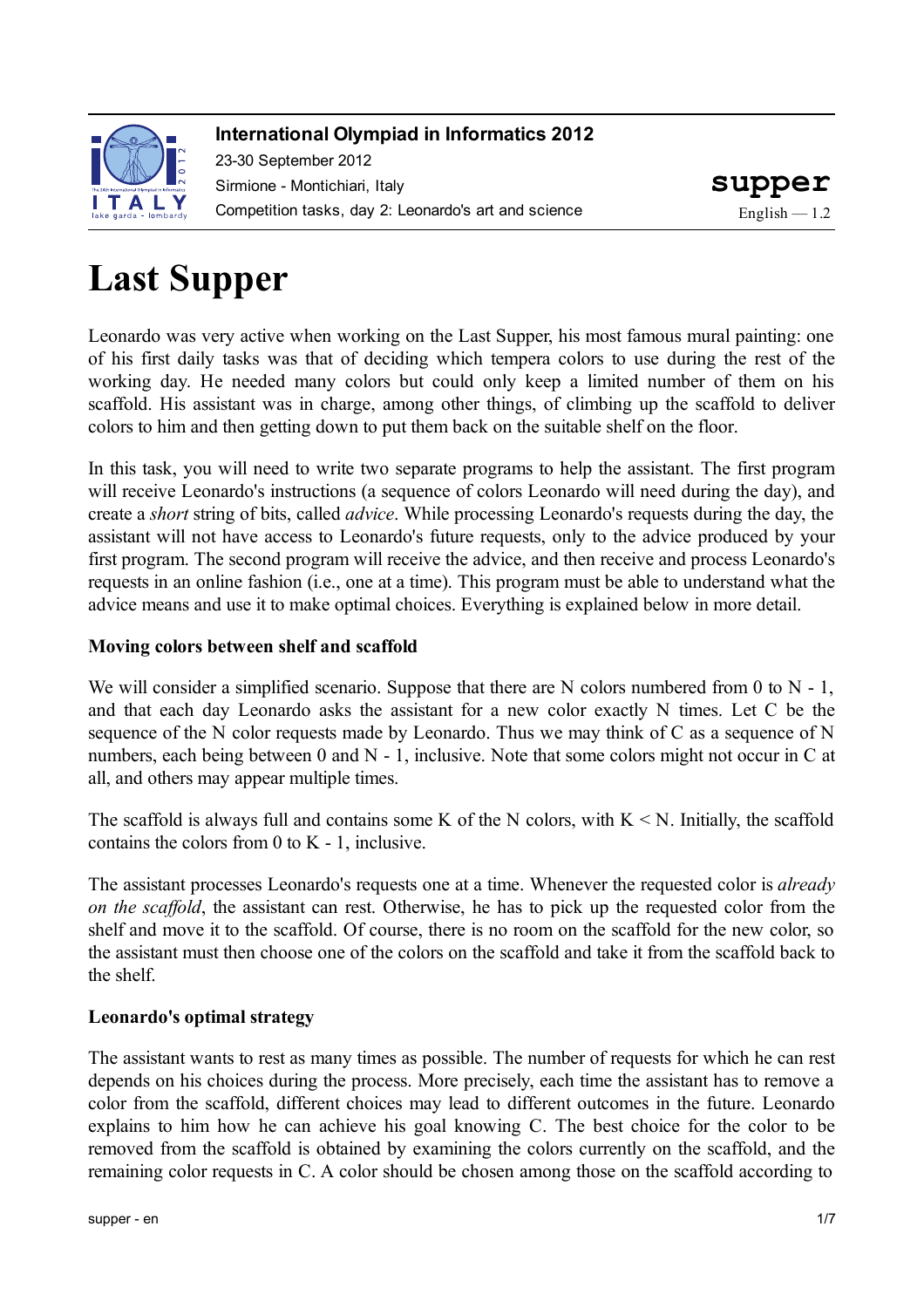

### **International Olympiad in Informatics 2012**

23-30 September 2012 Sirmione - Montichiari, Italy Competition tasks, day 2: Leonardo's art and science

# **Last Supper**

Leonardo was very active when working on the Last Supper, his most famous mural painting: one of his first daily tasks was that of deciding which tempera colors to use during the rest of the working day. He needed many colors but could only keep a limited number of them on his scaffold. His assistant was in charge, among other things, of climbing up the scaffold to deliver colors to him and then getting down to put them back on the suitable shelf on the floor.

In this task, you will need to write two separate programs to help the assistant. The first program will receive Leonardo's instructions (a sequence of colors Leonardo will need during the day), and create a *short* string of bits, called *advice*. While processing Leonardo's requests during the day, the assistant will not have access to Leonardo's future requests, only to the advice produced by your first program. The second program will receive the advice, and then receive and process Leonardo's requests in an online fashion (i.e., one at a time). This program must be able to understand what the advice means and use it to make optimal choices. Everything is explained below in more detail.

### **Moving colors between shelf and scaffold**

We will consider a simplified scenario. Suppose that there are N colors numbered from 0 to N - 1, and that each day Leonardo asks the assistant for a new color exactly N times. Let C be the sequence of the N color requests made by Leonardo. Thus we may think of C as a sequence of N numbers, each being between 0 and N - 1, inclusive. Note that some colors might not occur in C at all, and others may appear multiple times.

The scaffold is always full and contains some K of the N colors, with  $K \le N$ . Initially, the scaffold contains the colors from 0 to K - 1, inclusive.

The assistant processes Leonardo's requests one at a time. Whenever the requested color is *already on the scaffold*, the assistant can rest. Otherwise, he has to pick up the requested color from the shelf and move it to the scaffold. Of course, there is no room on the scaffold for the new color, so the assistant must then choose one of the colors on the scaffold and take it from the scaffold back to the shelf.

### **Leonardo's optimal strategy**

The assistant wants to rest as many times as possible. The number of requests for which he can rest depends on his choices during the process. More precisely, each time the assistant has to remove a color from the scaffold, different choices may lead to different outcomes in the future. Leonardo explains to him how he can achieve his goal knowing C. The best choice for the color to be removed from the scaffold is obtained by examining the colors currently on the scaffold, and the remaining color requests in C. A color should be chosen among those on the scaffold according to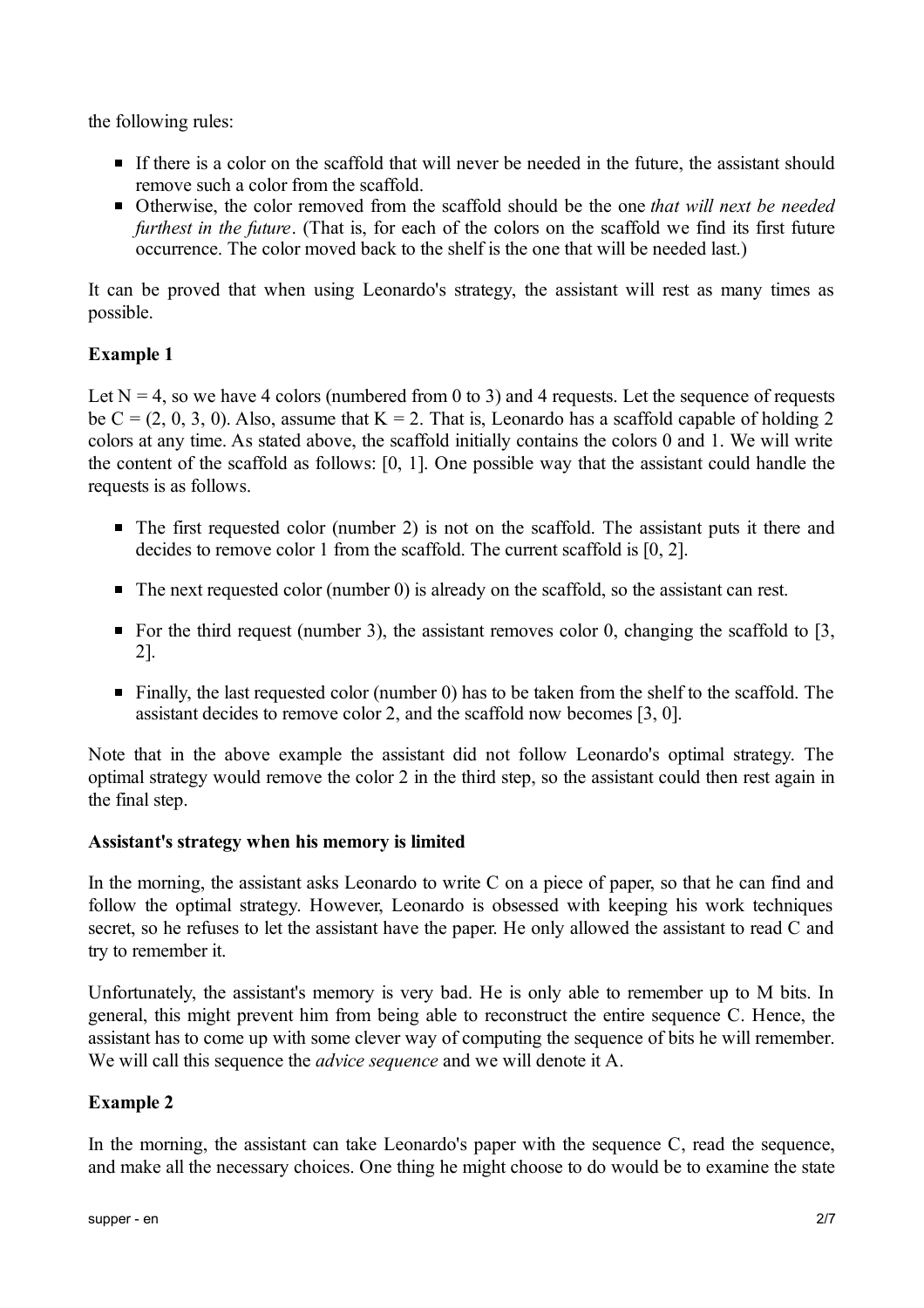the following rules:

- If there is a color on the scaffold that will never be needed in the future, the assistant should remove such a color from the scaffold.
- Otherwise, the color removed from the scaffold should be the one *that will next be needed furthest in the future*. (That is, for each of the colors on the scaffold we find its first future occurrence. The color moved back to the shelf is the one that will be needed last.)

It can be proved that when using Leonardo's strategy, the assistant will rest as many times as possible.

### **Example 1**

Let  $N = 4$ , so we have 4 colors (numbered from 0 to 3) and 4 requests. Let the sequence of requests be  $C = (2, 0, 3, 0)$ . Also, assume that  $K = 2$ . That is, Leonardo has a scaffold capable of holding 2 colors at any time. As stated above, the scaffold initially contains the colors 0 and 1. We will write the content of the scaffold as follows: [0, 1]. One possible way that the assistant could handle the requests is as follows.

- $\blacksquare$  The first requested color (number 2) is not on the scaffold. The assistant puts it there and decides to remove color 1 from the scaffold. The current scaffold is [0, 2].
- The next requested color (number 0) is already on the scaffold, so the assistant can rest.
- For the third request (number 3), the assistant removes color 0, changing the scaffold to  $[3, 1]$ 2].
- $\blacksquare$  Finally, the last requested color (number 0) has to be taken from the shelf to the scaffold. The assistant decides to remove color 2, and the scaffold now becomes [3, 0].

Note that in the above example the assistant did not follow Leonardo's optimal strategy. The optimal strategy would remove the color 2 in the third step, so the assistant could then rest again in the final step.

#### **Assistant's strategy when his memory is limited**

In the morning, the assistant asks Leonardo to write C on a piece of paper, so that he can find and follow the optimal strategy. However, Leonardo is obsessed with keeping his work techniques secret, so he refuses to let the assistant have the paper. He only allowed the assistant to read C and try to remember it.

Unfortunately, the assistant's memory is very bad. He is only able to remember up to M bits. In general, this might prevent him from being able to reconstruct the entire sequence C. Hence, the assistant has to come up with some clever way of computing the sequence of bits he will remember. We will call this sequence the *advice sequence* and we will denote it A.

#### **Example 2**

In the morning, the assistant can take Leonardo's paper with the sequence C, read the sequence, and make all the necessary choices. One thing he might choose to do would be to examine the state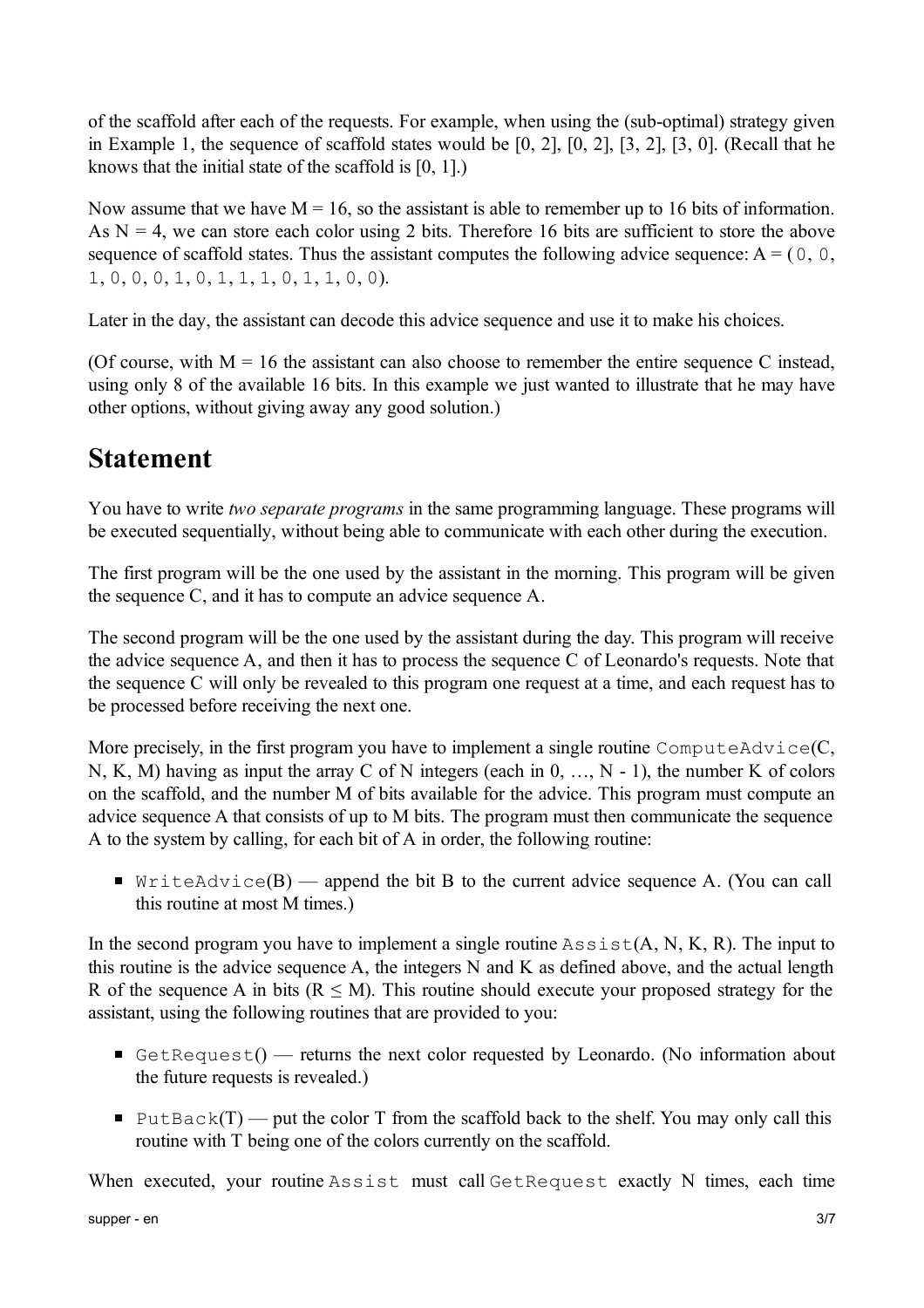of the scaffold after each of the requests. For example, when using the (sub-optimal) strategy given in Example 1, the sequence of scaffold states would be [0, 2], [0, 2], [3, 2], [3, 0]. (Recall that he knows that the initial state of the scaffold is [0, 1].)

Now assume that we have  $M = 16$ , so the assistant is able to remember up to 16 bits of information. As  $N = 4$ , we can store each color using 2 bits. Therefore 16 bits are sufficient to store the above sequence of scaffold states. Thus the assistant computes the following advice sequence:  $A = (0, 0, 0, 0)$ 1, 0, 0, 0, 1, 0, 1, 1, 1, 0, 1, 1, 0, 0).

Later in the day, the assistant can decode this advice sequence and use it to make his choices.

(Of course, with  $M = 16$  the assistant can also choose to remember the entire sequence C instead, using only 8 of the available 16 bits. In this example we just wanted to illustrate that he may have other options, without giving away any good solution.)

### **Statement**

You have to write *two separate programs* in the same programming language. These programs will be executed sequentially, without being able to communicate with each other during the execution.

The first program will be the one used by the assistant in the morning. This program will be given the sequence C, and it has to compute an advice sequence A.

The second program will be the one used by the assistant during the day. This program will receive the advice sequence A, and then it has to process the sequence C of Leonardo's requests. Note that the sequence C will only be revealed to this program one request at a time, and each request has to be processed before receiving the next one.

More precisely, in the first program you have to implement a single routine  $\text{ComputeAdvice}(C,$ N, K, M) having as input the array C of N integers (each in 0, …, N - 1), the number K of colors on the scaffold, and the number M of bits available for the advice. This program must compute an advice sequence A that consists of up to M bits. The program must then communicate the sequence A to the system by calling, for each bit of A in order, the following routine:

 $\blacksquare$  WriteAdvice(B) — append the bit B to the current advice sequence A. (You can call this routine at most M times.)

In the second program you have to implement a single routine  $\text{Assist}(A, N, K, R)$ . The input to this routine is the advice sequence A, the integers N and K as defined above, and the actual length R of the sequence A in bits ( $R \leq M$ ). This routine should execute your proposed strategy for the assistant, using the following routines that are provided to you:

- GetRequest $()$  returns the next color requested by Leonardo. (No information about the future requests is revealed.)
- PutBack $(T)$  put the color T from the scaffold back to the shelf. You may only call this routine with T being one of the colors currently on the scaffold.

When executed, your routine Assist must call GetRequest exactly N times, each time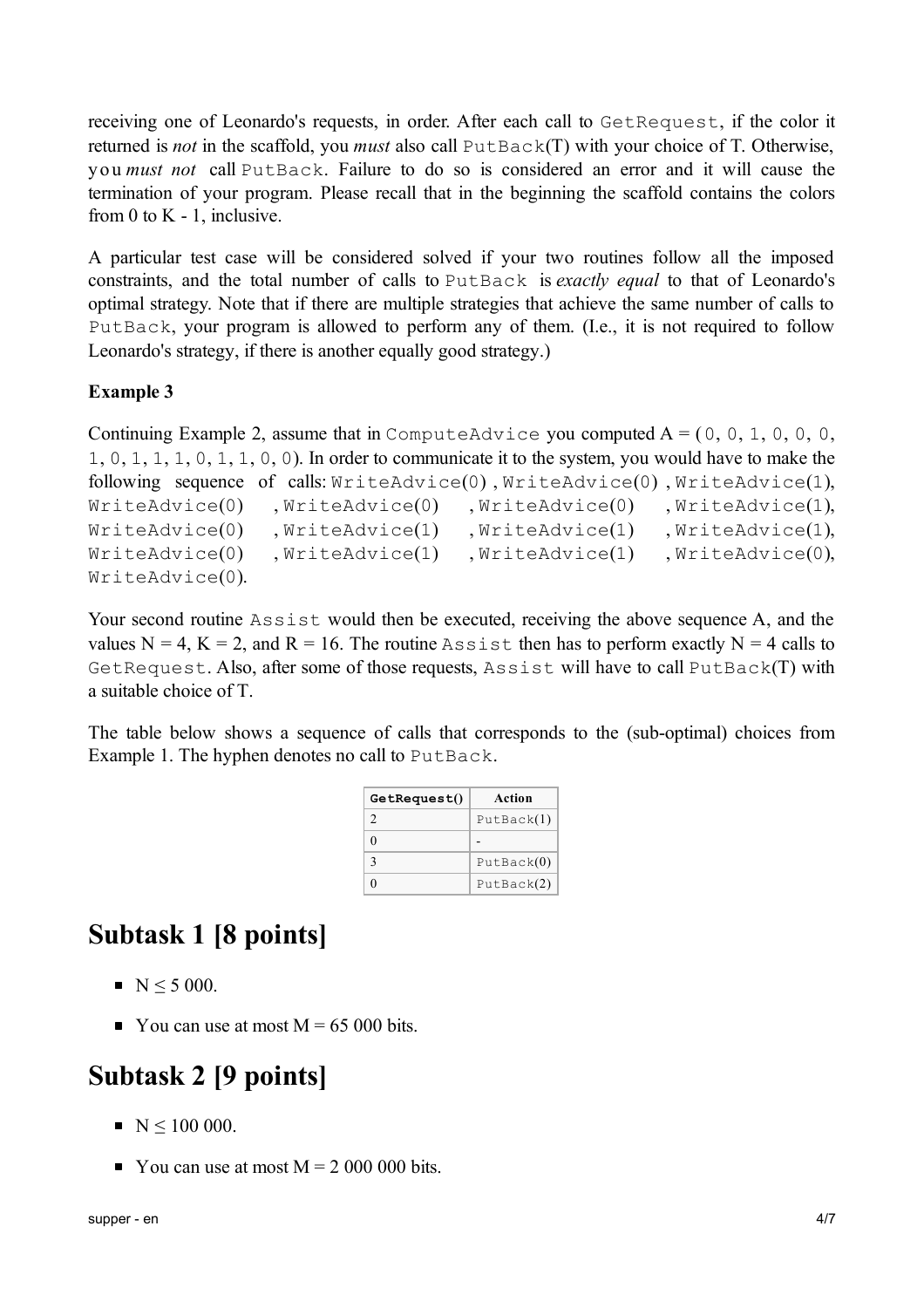receiving one of Leonardo's requests, in order. After each call to GetRequest, if the color it returned is *not* in the scaffold, you *must* also call PutBack(T) with your choice of T. Otherwise, y o u *must not* call PutBack. Failure to do so is considered an error and it will cause the termination of your program. Please recall that in the beginning the scaffold contains the colors from 0 to  $K - 1$ , inclusive.

A particular test case will be considered solved if your two routines follow all the imposed constraints, and the total number of calls to PutBack is *exactly equal* to that of Leonardo's optimal strategy. Note that if there are multiple strategies that achieve the same number of calls to PutBack, your program is allowed to perform any of them. (I.e., it is not required to follow Leonardo's strategy, if there is another equally good strategy.)

### **Example 3**

```
Continuing Example 2, assume that in ComputeAdvice you computed A = (0, 0, 1, 0, 0, 0,
1, 0, 1, 1, 1, 0, 1, 1, 0, 0). In order to communicate it to the system, you would have to make the
following sequence of calls: WriteAdvice(0) , WriteAdvice(0) , WriteAdvice(1),
WriteAdvice(0) , WriteAdvice(0) , WriteAdvice(0) , WriteAdvice(1),
WriteAdvice(0) , WriteAdvice(1) , WriteAdvice(1) , WriteAdvice(1),
WriteAdvice(0) , WriteAdvice(1) , WriteAdvice(1) , WriteAdvice(0),
WriteAdvice(0).
```
Your second routine Assist would then be executed, receiving the above sequence A, and the values  $N = 4$ ,  $K = 2$ , and  $R = 16$ . The routine Assist then has to perform exactly  $N = 4$  calls to GetRequest. Also, after some of those requests, Assist will have to call PutBack(T) with a suitable choice of T.

The table below shows a sequence of calls that corresponds to the (sub-optimal) choices from Example 1. The hyphen denotes no call to PutBack.

| GetRequest() | Action     |
|--------------|------------|
| 2            | PutBack(1) |
| 0            |            |
| 3            | PutBack(0) |
|              | PutBack(2) |

# **Subtask 1 [8 points]**

- $N < 5000$ .
- You can use at most  $M = 65,000$  bits.

### **Subtask 2 [9 points]**

- $\blacksquare$  N < 100 000.
- You can use at most  $M = 2,000,000$  bits.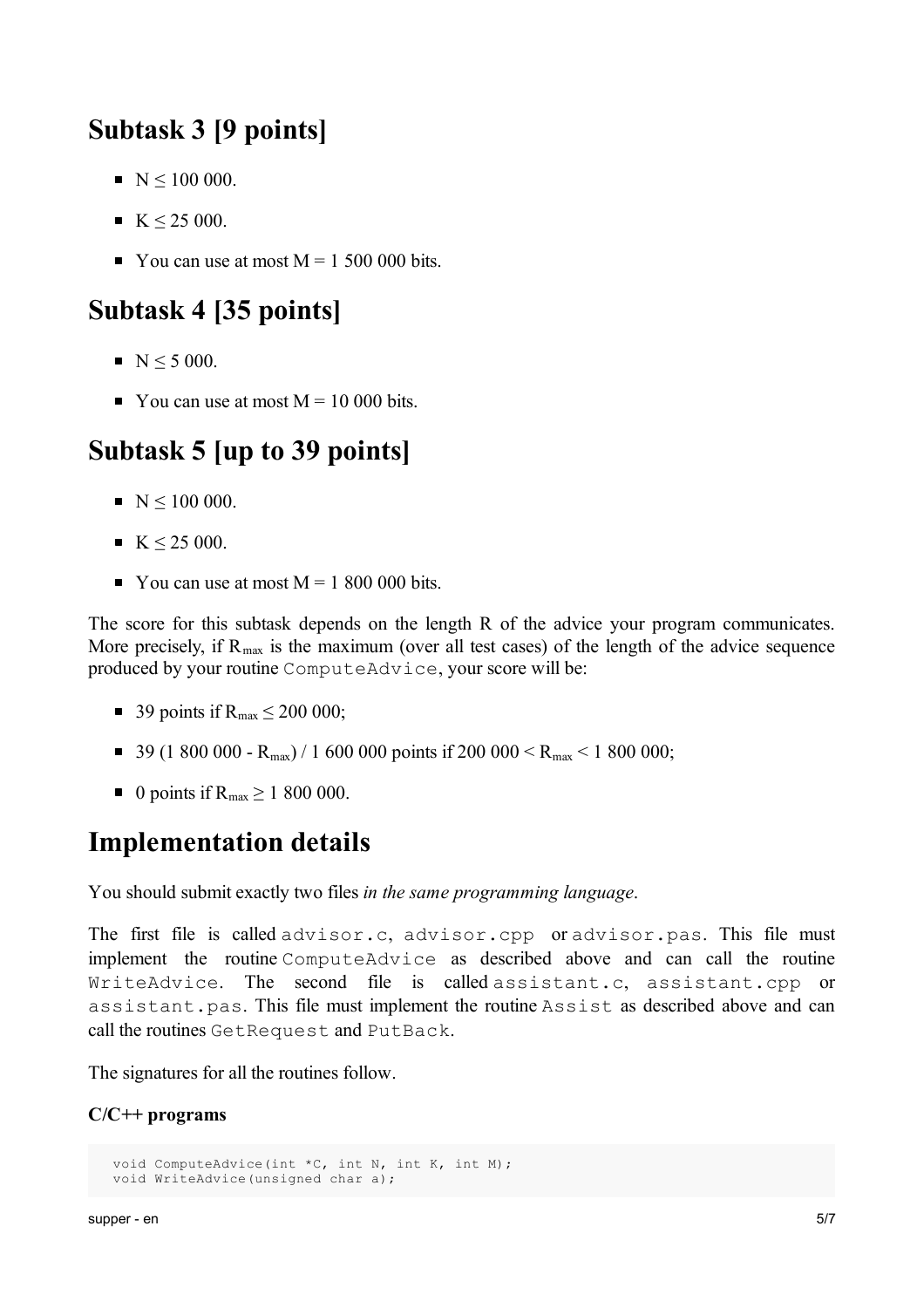## **Subtask 3 [9 points]**

- $\blacksquare$  N < 100 000.
- $\blacksquare$  K  $\leq$  25 000.
- You can use at most  $M = 1,500,000$  bits.

### **Subtask 4 [35 points]**

- $N < 5000$ .
- You can use at most  $M = 10,000$  bits.

# **Subtask 5 [up to 39 points]**

- $\blacksquare$  N < 100 000.
- $K < 25000$ .
- You can use at most  $M = 1800000$  bits.

The score for this subtask depends on the length R of the advice your program communicates. More precisely, if  $R_{\text{max}}$  is the maximum (over all test cases) of the length of the advice sequence produced by your routine ComputeAdvice, your score will be:

- 39 points if  $R_{\text{max}} \le 200\,000$ ;
- 39 (1 800 000  $R_{max}$ ) / 1 600 000 points if 200 000 <  $R_{max}$  < 1 800 000;
- 0 points if  $R_{\text{max}} \ge 1,800,000$ .

### **Implementation details**

You should submit exactly two files *in the same programming language*.

The first file is called advisor.c, advisor.cpp or advisor.pas. This file must implement the routine ComputeAdvice as described above and can call the routine WriteAdvice. The second file is called assistant.c, assistant.cpp or assistant.pas. This file must implement the routine Assist as described above and can call the routines GetRequest and PutBack.

The signatures for all the routines follow.

#### **C/C++ programs**

```
void ComputeAdvice(int *C, int N, int K, int M);
void WriteAdvice(unsigned char a);
```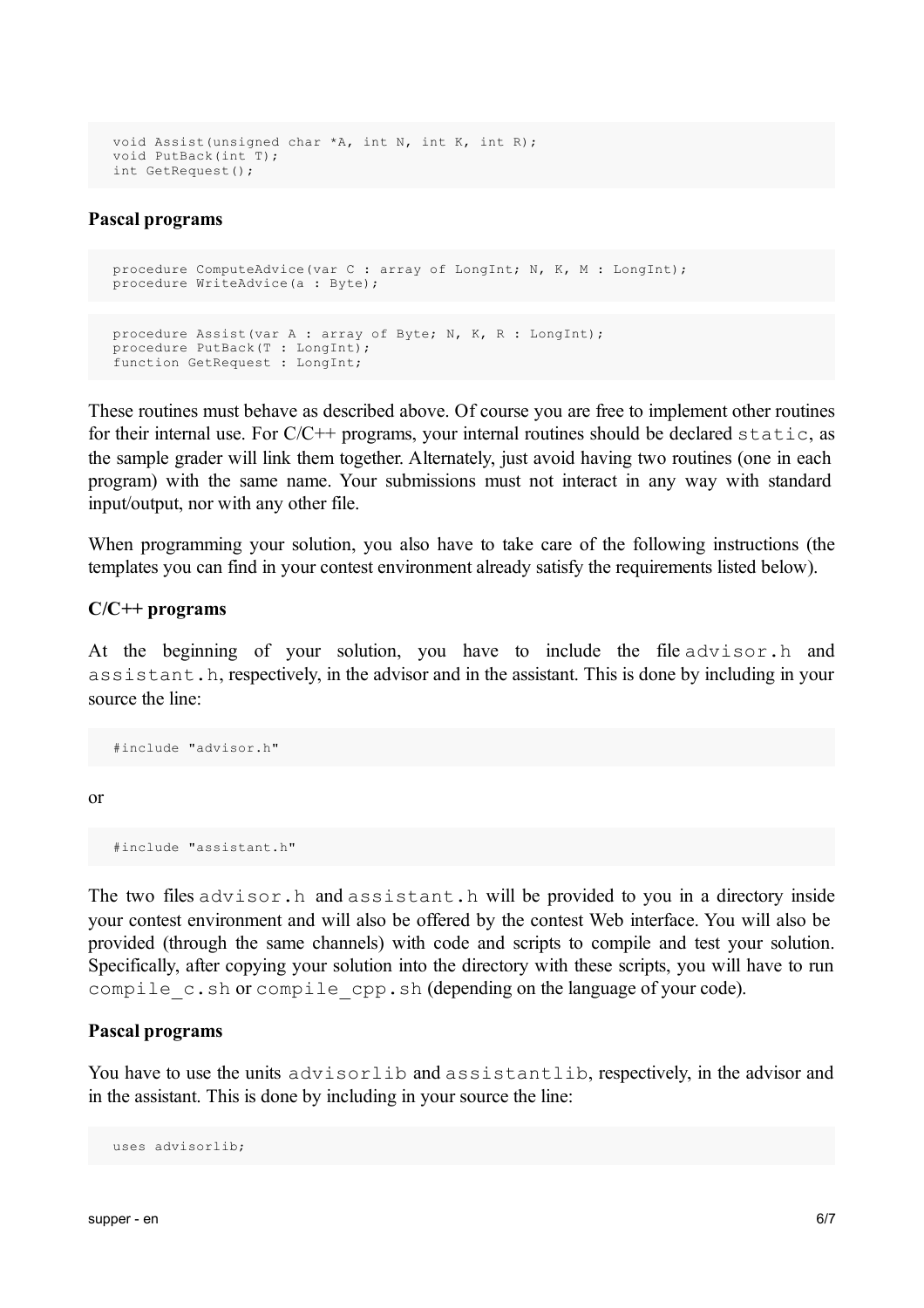```
void Assist(unsigned char *A, int N, int K, int R);
void PutBack(int T);
int GetRequest();
```
#### **Pascal programs**

```
procedure ComputeAdvice(var C : array of LongInt; N, K, M : LongInt);
procedure WriteAdvice(a : Byte);
```

```
procedure Assist(var A : array of Byte; N, K, R : LongInt);
procedure PutBack(T : LongInt);
function GetRequest : LongInt;
```
These routines must behave as described above. Of course you are free to implement other routines for their internal use. For  $C/C++$  programs, your internal routines should be declared  $static$ , as the sample grader will link them together. Alternately, just avoid having two routines (one in each program) with the same name. Your submissions must not interact in any way with standard input/output, nor with any other file.

When programming your solution, you also have to take care of the following instructions (the templates you can find in your contest environment already satisfy the requirements listed below).

#### **C/C++ programs**

At the beginning of your solution, you have to include the file advisor.h and assistant.h, respectively, in the advisor and in the assistant. This is done by including in your source the line:

#include "advisor.h"

or

```
#include "assistant.h"
```
The two files advisor.h and assistant.h will be provided to you in a directory inside your contest environment and will also be offered by the contest Web interface. You will also be provided (through the same channels) with code and scripts to compile and test your solution. Specifically, after copying your solution into the directory with these scripts, you will have to run compile\_c.sh or compile cpp.sh (depending on the language of your code).

#### **Pascal programs**

You have to use the units advisorlib and assistantlib, respectively, in the advisor and in the assistant. This is done by including in your source the line:

```
uses advisorlib;
```